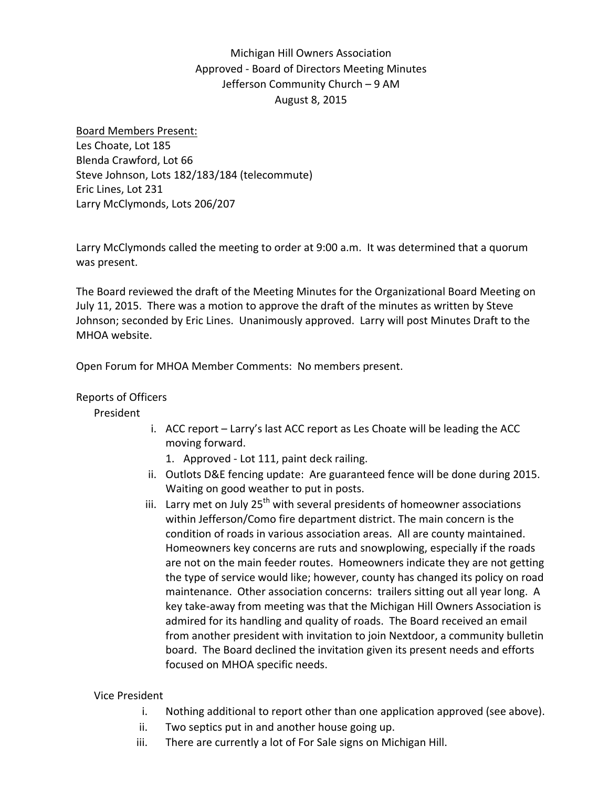# Michigan Hill Owners Association Approved ‐ Board of Directors Meeting Minutes Jefferson Community Church – 9 AM August 8, 2015

#### Board Members Present:

Les Choate, Lot 185 Blenda Crawford, Lot 66 Steve Johnson, Lots 182/183/184 (telecommute) Eric Lines, Lot 231 Larry McClymonds, Lots 206/207

Larry McClymonds called the meeting to order at 9:00 a.m. It was determined that a quorum was present.

The Board reviewed the draft of the Meeting Minutes for the Organizational Board Meeting on July 11, 2015. There was a motion to approve the draft of the minutes as written by Steve Johnson; seconded by Eric Lines. Unanimously approved. Larry will post Minutes Draft to the MHOA website.

Open Forum for MHOA Member Comments: No members present.

# Reports of Officers

# President

i. ACC report – Larry's last ACC report as Les Choate will be leading the ACC moving forward.

1. Approved ‐ Lot 111, paint deck railing.

- ii. Outlots D&E fencing update: Are guaranteed fence will be done during 2015. Waiting on good weather to put in posts.
- iii. Larry met on July  $25<sup>th</sup>$  with several presidents of homeowner associations within Jefferson/Como fire department district. The main concern is the condition of roads in various association areas. All are county maintained. Homeowners key concerns are ruts and snowplowing, especially if the roads are not on the main feeder routes. Homeowners indicate they are not getting the type of service would like; however, county has changed its policy on road maintenance. Other association concerns: trailers sitting out all year long. A key take‐away from meeting was that the Michigan Hill Owners Association is admired for its handling and quality of roads. The Board received an email from another president with invitation to join Nextdoor, a community bulletin board. The Board declined the invitation given its present needs and efforts focused on MHOA specific needs.

# Vice President

- i. Nothing additional to report other than one application approved (see above).
- ii. Two septics put in and another house going up.
- iii. There are currently a lot of For Sale signs on Michigan Hill.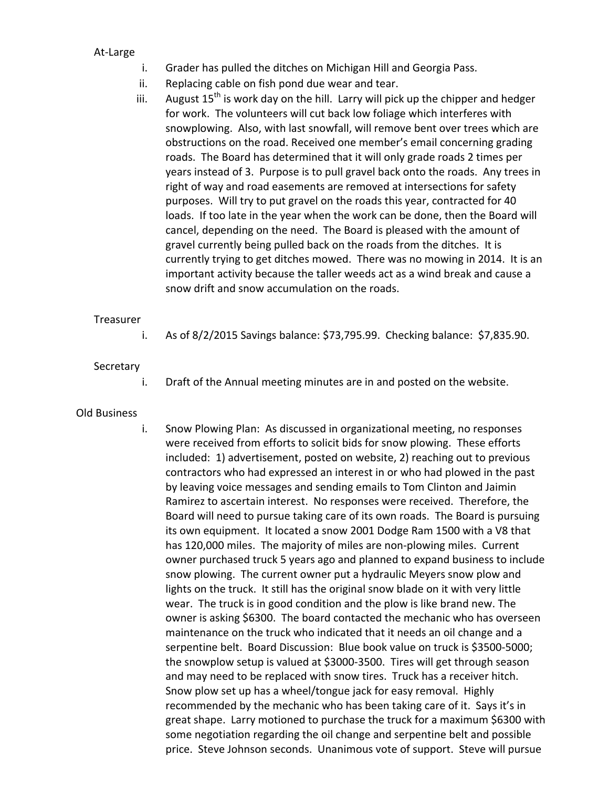At‐Large

- i. Grader has pulled the ditches on Michigan Hill and Georgia Pass.
- ii. Replacing cable on fish pond due wear and tear.
- iii. August  $15^{th}$  is work day on the hill. Larry will pick up the chipper and hedger for work. The volunteers will cut back low foliage which interferes with snowplowing. Also, with last snowfall, will remove bent over trees which are obstructions on the road. Received one member's email concerning grading roads. The Board has determined that it will only grade roads 2 times per years instead of 3. Purpose is to pull gravel back onto the roads. Any trees in right of way and road easements are removed at intersections for safety purposes. Will try to put gravel on the roads this year, contracted for 40 loads. If too late in the year when the work can be done, then the Board will cancel, depending on the need. The Board is pleased with the amount of gravel currently being pulled back on the roads from the ditches. It is currently trying to get ditches mowed. There was no mowing in 2014. It is an important activity because the taller weeds act as a wind break and cause a snow drift and snow accumulation on the roads.

#### Treasurer

i. As of 8/2/2015 Savings balance: \$73,795.99. Checking balance: \$7,835.90.

#### Secretary

- i. Draft of the Annual meeting minutes are in and posted on the website.
- Old Business
- i. Snow Plowing Plan: As discussed in organizational meeting, no responses were received from efforts to solicit bids for snow plowing. These efforts included: 1) advertisement, posted on website, 2) reaching out to previous contractors who had expressed an interest in or who had plowed in the past by leaving voice messages and sending emails to Tom Clinton and Jaimin Ramirez to ascertain interest. No responses were received. Therefore, the Board will need to pursue taking care of its own roads. The Board is pursuing its own equipment. It located a snow 2001 Dodge Ram 1500 with a V8 that has 120,000 miles. The majority of miles are non-plowing miles. Current owner purchased truck 5 years ago and planned to expand business to include snow plowing. The current owner put a hydraulic Meyers snow plow and lights on the truck. It still has the original snow blade on it with very little wear. The truck is in good condition and the plow is like brand new. The owner is asking \$6300. The board contacted the mechanic who has overseen maintenance on the truck who indicated that it needs an oil change and a serpentine belt. Board Discussion: Blue book value on truck is \$3500-5000; the snowplow setup is valued at \$3000‐3500. Tires will get through season and may need to be replaced with snow tires. Truck has a receiver hitch. Snow plow set up has a wheel/tongue jack for easy removal. Highly recommended by the mechanic who has been taking care of it. Says it's in great shape. Larry motioned to purchase the truck for a maximum \$6300 with some negotiation regarding the oil change and serpentine belt and possible price. Steve Johnson seconds. Unanimous vote of support. Steve will pursue